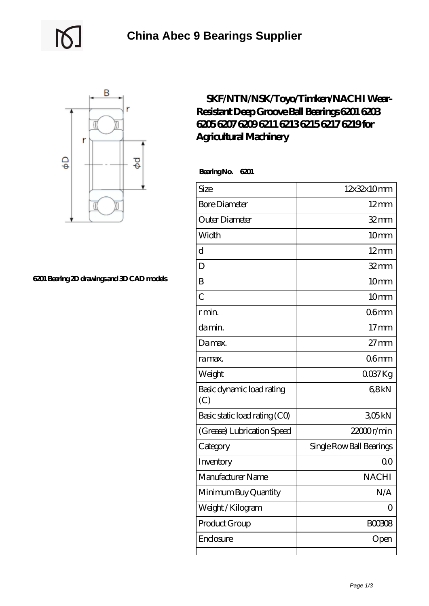



## **[6201 Bearing 2D drawings and 3D CAD models](https://uttorshuri.net/pic-526090.html)**

## **[SKF/NTN/NSK/Toyo/Timken/NACHI Wear-](https://uttorshuri.net/6203-timken-bearing/skf-ntn-nsk-toyo-timken-nachi-wear-resistant-deep-groove-ball-bearings-6201-6203-6205-6207-6209-6211-6213-6215-6217-6219-for-agricultural-machinery.html)[Resistant Deep Groove Ball Bearings 6201 6203](https://uttorshuri.net/6203-timken-bearing/skf-ntn-nsk-toyo-timken-nachi-wear-resistant-deep-groove-ball-bearings-6201-6203-6205-6207-6209-6211-6213-6215-6217-6219-for-agricultural-machinery.html) [6205 6207 6209 6211 6213 6215 6217 6219 for](https://uttorshuri.net/6203-timken-bearing/skf-ntn-nsk-toyo-timken-nachi-wear-resistant-deep-groove-ball-bearings-6201-6203-6205-6207-6209-6211-6213-6215-6217-6219-for-agricultural-machinery.html) [Agricultural Machinery](https://uttorshuri.net/6203-timken-bearing/skf-ntn-nsk-toyo-timken-nachi-wear-resistant-deep-groove-ball-bearings-6201-6203-6205-6207-6209-6211-6213-6215-6217-6219-for-agricultural-machinery.html)**

 **Bearing No. 6201**

| Size                             | 12x32x10mm               |
|----------------------------------|--------------------------|
| <b>Bore Diameter</b>             | $12$ mm                  |
| Outer Diameter                   | $32$ mm                  |
| Width                            | 10mm                     |
| d                                | $12 \text{mm}$           |
| D                                | $32 \text{mm}$           |
| B                                | 10mm                     |
| $\overline{C}$                   | 10mm                     |
| r min.                           | 06 <sub>mm</sub>         |
| da min.                          | 17 <sub>mm</sub>         |
| Damax.                           | $27$ mm                  |
| ra max.                          | 06 <sub>mm</sub>         |
| Weight                           | $0037$ Kg                |
| Basic dynamic load rating<br>(C) | 68kN                     |
| Basic static load rating (CO)    | 305kN                    |
| (Grease) Lubrication Speed       | 22000r/min               |
| Category                         | Single Row Ball Bearings |
| Inventory                        | 0 <sup>0</sup>           |
| Manufacturer Name                | <b>NACHI</b>             |
| Minimum Buy Quantity             | N/A                      |
| Weight / Kilogram                | $\Omega$                 |
| Product Group                    | <b>BOO308</b>            |
| Enclosure                        | Open                     |
|                                  |                          |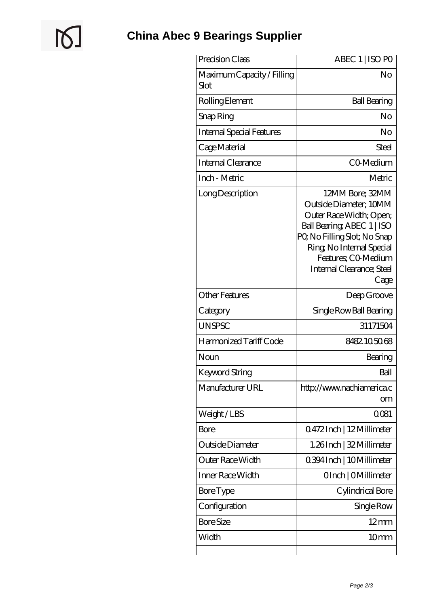$\mathbb{Q}$ 

| Precision Class                    | ABEC 1   ISO PO                                                                                                                                                                                                            |
|------------------------------------|----------------------------------------------------------------------------------------------------------------------------------------------------------------------------------------------------------------------------|
| Maximum Capacity / Filling<br>Slot | No                                                                                                                                                                                                                         |
| Rolling Element                    | <b>Ball Bearing</b>                                                                                                                                                                                                        |
| Snap Ring                          | No                                                                                                                                                                                                                         |
| <b>Internal Special Features</b>   | No                                                                                                                                                                                                                         |
| Cage Material                      | Steel                                                                                                                                                                                                                      |
| Internal Clearance                 | CO-Medium                                                                                                                                                                                                                  |
| Inch - Metric                      | Metric                                                                                                                                                                                                                     |
| Long Description                   | 12MM Bore; 32MM<br>Outside Diameter; 10MM<br>Outer Race Width; Open;<br>Ball Bearing, ABEC 1   ISO<br>PQ No Filling Slot; No Snap<br>Ring, No Internal Special<br>Features; CO-Medium<br>Internal Clearance; Steel<br>Cage |
| <b>Other Features</b>              | Deep Groove                                                                                                                                                                                                                |
| Category                           | Single Row Ball Bearing                                                                                                                                                                                                    |
| <b>UNSPSC</b>                      | 31171504                                                                                                                                                                                                                   |
| Harmonized Tariff Code             | 8482105068                                                                                                                                                                                                                 |
| Noun                               | Bearing                                                                                                                                                                                                                    |
| <b>Keyword String</b>              | Ball                                                                                                                                                                                                                       |
| Manufacturer URL                   | http://www.nachiamerica.c<br>om                                                                                                                                                                                            |
| Weight/LBS                         | 0081                                                                                                                                                                                                                       |
| Bore                               | Q472Inch   12Millimeter                                                                                                                                                                                                    |
| Outside Diameter                   | 1.26Inch   32 Millimeter                                                                                                                                                                                                   |
| Outer Race Width                   | 0.394 Inch   10 Millimeter                                                                                                                                                                                                 |
| Inner Race Width                   | OInch   OMillimeter                                                                                                                                                                                                        |
| Bore Type                          | Cylindrical Bore                                                                                                                                                                                                           |
| Configuration                      | Single Row                                                                                                                                                                                                                 |
| <b>Bore Size</b>                   | $12 \,\mathrm{mm}$                                                                                                                                                                                                         |
|                                    |                                                                                                                                                                                                                            |